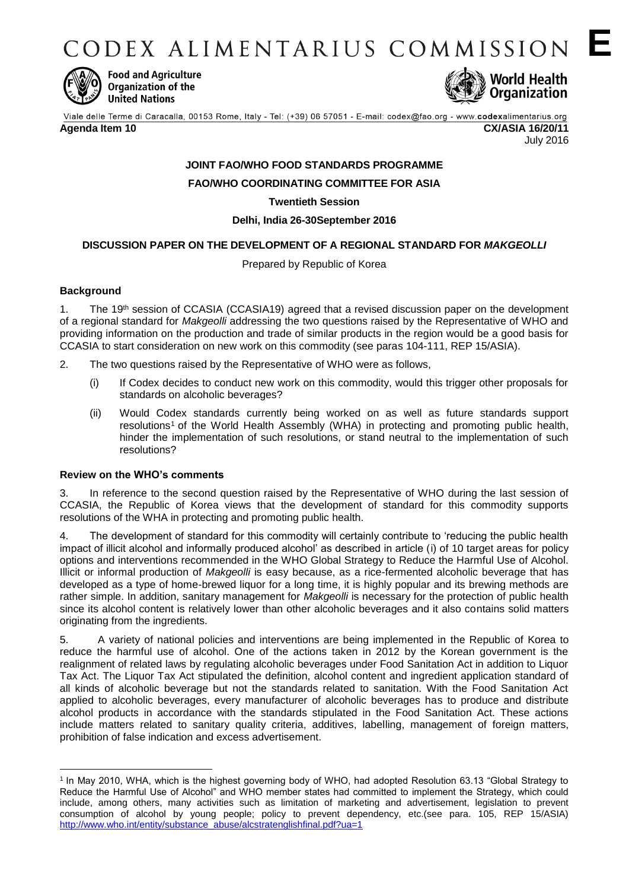CODEX ALIMENTARIUS COMMISSION E



**Food and Agriculture** Organization of the **United Nations** 



Viale delle Terme di Caracalla, 00153 Rome, Italy - Tel: (+39) 06 57051 - E-mail: codex@fao.org - www.codexalimentarius.org **Agenda Item 10 CX/ASIA 16/20/11**

July 2016

# **JOINT FAO/WHO FOOD STANDARDS PROGRAMME**

**FAO/WHO COORDINATING COMMITTEE FOR ASIA**

**Twentieth Session**

**Delhi, India 26-30September 2016**

# **DISCUSSION PAPER ON THE DEVELOPMENT OF A REGIONAL STANDARD FOR** *MAKGEOLLI*

Prepared by Republic of Korea

# **Background**

1. The 19<sup>th</sup> session of CCASIA (CCASIA19) agreed that a revised discussion paper on the development of a regional standard for *Makgeolli* addressing the two questions raised by the Representative of WHO and providing information on the production and trade of similar products in the region would be a good basis for CCASIA to start consideration on new work on this commodity (see paras 104-111, REP 15/ASIA).

- 2. The two questions raised by the Representative of WHO were as follows,
	- (i) If Codex decides to conduct new work on this commodity, would this trigger other proposals for standards on alcoholic beverages?
	- (ii) Would Codex standards currently being worked on as well as future standards support resolutions<sup>1</sup> of the World Health Assembly (WHA) in protecting and promoting public health, hinder the implementation of such resolutions, or stand neutral to the implementation of such resolutions?

# **Review on the WHO's comments**

3. In reference to the second question raised by the Representative of WHO during the last session of CCASIA, the Republic of Korea views that the development of standard for this commodity supports resolutions of the WHA in protecting and promoting public health.

4. The development of standard for this commodity will certainly contribute to 'reducing the public health impact of illicit alcohol and informally produced alcohol' as described in article (i) of 10 target areas for policy options and interventions recommended in the WHO Global Strategy to Reduce the Harmful Use of Alcohol. Illicit or informal production of *Makgeolli* is easy because, as a rice-fermented alcoholic beverage that has developed as a type of home-brewed liquor for a long time, it is highly popular and its brewing methods are rather simple. In addition, sanitary management for *Makgeolli* is necessary for the protection of public health since its alcohol content is relatively lower than other alcoholic beverages and it also contains solid matters originating from the ingredients.

5. A variety of national policies and interventions are being implemented in the Republic of Korea to reduce the harmful use of alcohol. One of the actions taken in 2012 by the Korean government is the realignment of related laws by regulating alcoholic beverages under Food Sanitation Act in addition to Liquor Tax Act. The Liquor Tax Act stipulated the definition, alcohol content and ingredient application standard of all kinds of alcoholic beverage but not the standards related to sanitation. With the Food Sanitation Act applied to alcoholic beverages, every manufacturer of alcoholic beverages has to produce and distribute alcohol products in accordance with the standards stipulated in the Food Sanitation Act. These actions include matters related to sanitary quality criteria, additives, labelling, management of foreign matters, prohibition of false indication and excess advertisement.

<sup>&</sup>lt;u>.</u> 1 In May 2010, WHA, which is the highest governing body of WHO, had adopted Resolution 63.13 "Global Strategy to Reduce the Harmful Use of Alcohol" and WHO member states had committed to implement the Strategy, which could include, among others, many activities such as limitation of marketing and advertisement, legislation to prevent consumption of alcohol by young people; policy to prevent dependency, etc.(see para. 105, REP 15/ASIA) [http://www.who.int/entity/substance\\_abuse/alcstratenglishfinal.pdf?ua=1](http://www.who.int/entity/substance_abuse/alcstratenglishfinal.pdf?ua=1)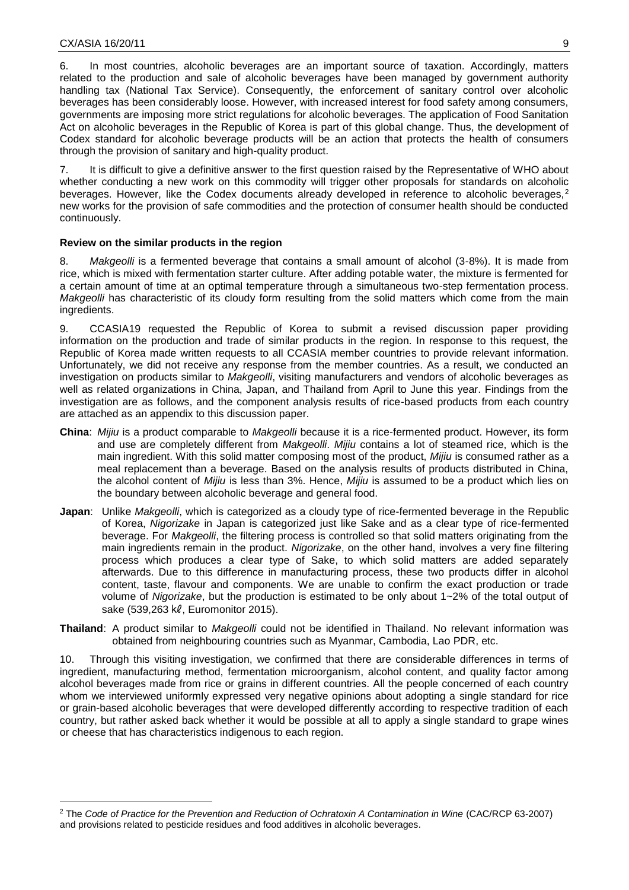<u>.</u>

6. In most countries, alcoholic beverages are an important source of taxation. Accordingly, matters related to the production and sale of alcoholic beverages have been managed by government authority handling tax (National Tax Service). Consequently, the enforcement of sanitary control over alcoholic beverages has been considerably loose. However, with increased interest for food safety among consumers, governments are imposing more strict regulations for alcoholic beverages. The application of Food Sanitation Act on alcoholic beverages in the Republic of Korea is part of this global change. Thus, the development of Codex standard for alcoholic beverage products will be an action that protects the health of consumers through the provision of sanitary and high-quality product.

7. It is difficult to give a definitive answer to the first question raised by the Representative of WHO about whether conducting a new work on this commodity will trigger other proposals for standards on alcoholic beverages. However, like the Codex documents already developed in reference to alcoholic beverages,<sup>2</sup> new works for the provision of safe commodities and the protection of consumer health should be conducted continuously.

#### **Review on the similar products in the region**

8. *Makgeolli* is a fermented beverage that contains a small amount of alcohol (3-8%). It is made from rice, which is mixed with fermentation starter culture. After adding potable water, the mixture is fermented for a certain amount of time at an optimal temperature through a simultaneous two-step fermentation process. *Makgeolli* has characteristic of its cloudy form resulting from the solid matters which come from the main ingredients.

9. CCASIA19 requested the Republic of Korea to submit a revised discussion paper providing information on the production and trade of similar products in the region. In response to this request, the Republic of Korea made written requests to all CCASIA member countries to provide relevant information. Unfortunately, we did not receive any response from the member countries. As a result, we conducted an investigation on products similar to *Makgeolli*, visiting manufacturers and vendors of alcoholic beverages as well as related organizations in China, Japan, and Thailand from April to June this year. Findings from the investigation are as follows, and the component analysis results of rice-based products from each country are attached as an appendix to this discussion paper.

- **China**: *Mijiu* is a product comparable to *Makgeolli* because it is a rice-fermented product. However, its form and use are completely different from *Makgeolli*. *Mijiu* contains a lot of steamed rice, which is the main ingredient. With this solid matter composing most of the product, *Mijiu* is consumed rather as a meal replacement than a beverage. Based on the analysis results of products distributed in China, the alcohol content of *Mijiu* is less than 3%. Hence, *Mijiu* is assumed to be a product which lies on the boundary between alcoholic beverage and general food.
- **Japan**: Unlike *Makgeolli*, which is categorized as a cloudy type of rice-fermented beverage in the Republic of Korea, *Nigorizake* in Japan is categorized just like Sake and as a clear type of rice-fermented beverage. For *Makgeolli*, the filtering process is controlled so that solid matters originating from the main ingredients remain in the product. *Nigorizake*, on the other hand, involves a very fine filtering process which produces a clear type of Sake, to which solid matters are added separately afterwards. Due to this difference in manufacturing process, these two products differ in alcohol content, taste, flavour and components. We are unable to confirm the exact production or trade volume of *Nigorizake*, but the production is estimated to be only about 1~2% of the total output of sake (539,263 kl, Euromonitor 2015).
- **Thailand**: A product similar to *Makgeolli* could not be identified in Thailand. No relevant information was obtained from neighbouring countries such as Myanmar, Cambodia, Lao PDR, etc.

10. Through this visiting investigation, we confirmed that there are considerable differences in terms of ingredient, manufacturing method, fermentation microorganism, alcohol content, and quality factor among alcohol beverages made from rice or grains in different countries. All the people concerned of each country whom we interviewed uniformly expressed very negative opinions about adopting a single standard for rice or grain-based alcoholic beverages that were developed differently according to respective tradition of each country, but rather asked back whether it would be possible at all to apply a single standard to grape wines or cheese that has characteristics indigenous to each region.

<sup>&</sup>lt;sup>2</sup> The *Code of Practice for the Prevention and Reduction of Ochratoxin A Contamination in Wine (CAC/RCP 63-2007)* and provisions related to pesticide residues and food additives in alcoholic beverages.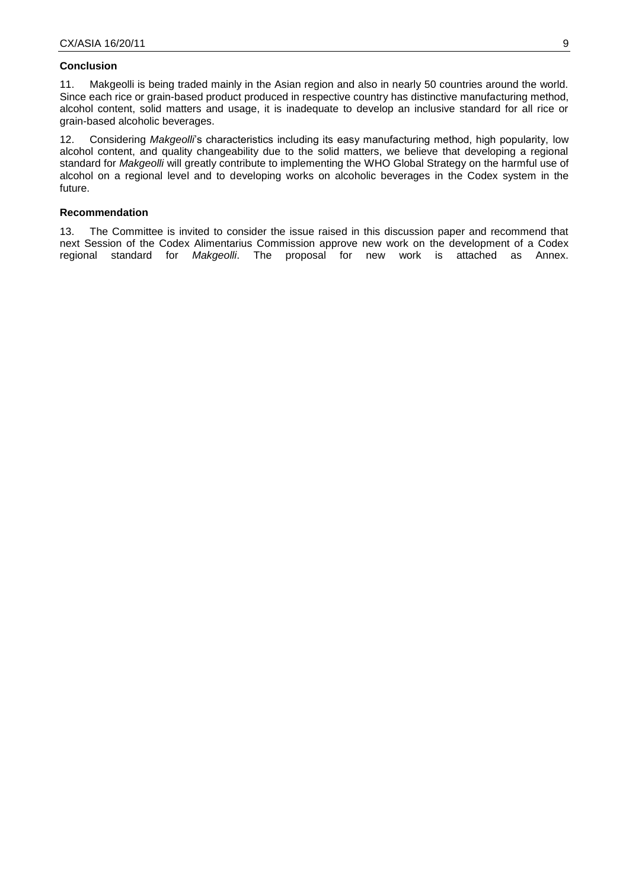#### **Conclusion**

11. Makgeolli is being traded mainly in the Asian region and also in nearly 50 countries around the world. Since each rice or grain-based product produced in respective country has distinctive manufacturing method, alcohol content, solid matters and usage, it is inadequate to develop an inclusive standard for all rice or grain-based alcoholic beverages.

12. Considering *Makgeolli*'s characteristics including its easy manufacturing method, high popularity, low alcohol content, and quality changeability due to the solid matters, we believe that developing a regional standard for *Makgeolli* will greatly contribute to implementing the WHO Global Strategy on the harmful use of alcohol on a regional level and to developing works on alcoholic beverages in the Codex system in the future.

#### **Recommendation**

13. The Committee is invited to consider the issue raised in this discussion paper and recommend that next Session of the Codex Alimentarius Commission approve new work on the development of a Codex regional standard for *Makgeolli*. The proposal for new work is attached as Annex. Makgeolli. The proposal for new work is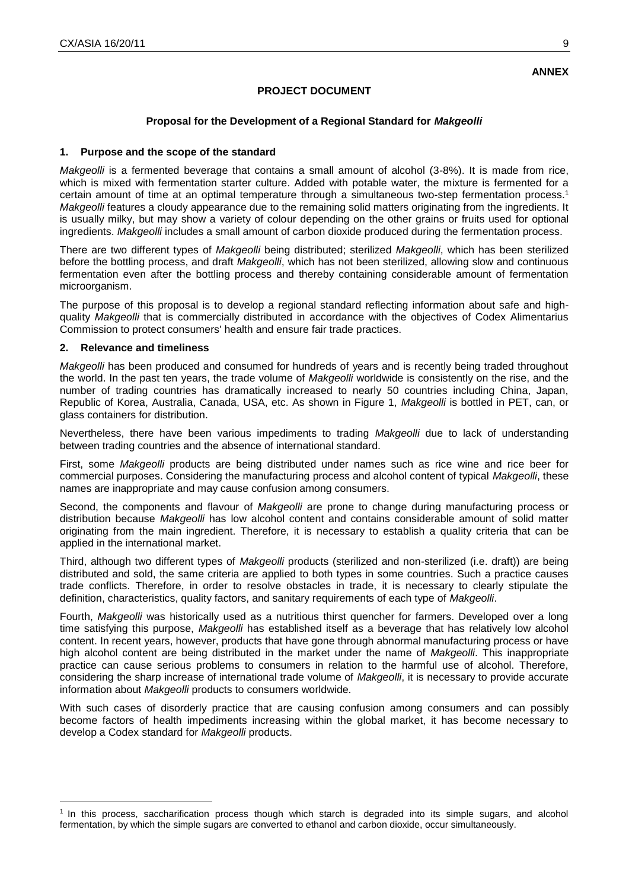# **PROJECT DOCUMENT**

# **Proposal for the Development of a Regional Standard for** *Makgeolli*

#### **1. Purpose and the scope of the standard**

*Makgeolli* is a fermented beverage that contains a small amount of alcohol (3-8%). It is made from rice, which is mixed with fermentation starter culture. Added with potable water, the mixture is fermented for a certain amount of time at an optimal temperature through a simultaneous two-step fermentation process.<sup>1</sup> *Makgeolli* features a cloudy appearance due to the remaining solid matters originating from the ingredients. It is usually milky, but may show a variety of colour depending on the other grains or fruits used for optional ingredients. *Makgeolli* includes a small amount of carbon dioxide produced during the fermentation process.

There are two different types of *Makgeolli* being distributed; sterilized *Makgeolli*, which has been sterilized before the bottling process, and draft *Makgeolli*, which has not been sterilized, allowing slow and continuous fermentation even after the bottling process and thereby containing considerable amount of fermentation microorganism.

The purpose of this proposal is to develop a regional standard reflecting information about safe and highquality *Makgeolli* that is commercially distributed in accordance with the objectives of Codex Alimentarius Commission to protect consumers' health and ensure fair trade practices.

#### **2. Relevance and timeliness**

<u>.</u>

*Makgeolli* has been produced and consumed for hundreds of years and is recently being traded throughout the world. In the past ten years, the trade volume of *Makgeolli* worldwide is consistently on the rise, and the number of trading countries has dramatically increased to nearly 50 countries including China, Japan, Republic of Korea, Australia, Canada, USA, etc. As shown in Figure 1, *Makgeolli* is bottled in PET, can, or glass containers for distribution.

Nevertheless, there have been various impediments to trading *Makgeolli* due to lack of understanding between trading countries and the absence of international standard.

First, some *Makgeolli* products are being distributed under names such as rice wine and rice beer for commercial purposes. Considering the manufacturing process and alcohol content of typical *Makgeolli*, these names are inappropriate and may cause confusion among consumers.

Second, the components and flavour of *Makgeolli* are prone to change during manufacturing process or distribution because *Makgeolli* has low alcohol content and contains considerable amount of solid matter originating from the main ingredient. Therefore, it is necessary to establish a quality criteria that can be applied in the international market.

Third, although two different types of *Makgeolli* products (sterilized and non-sterilized (i.e. draft)) are being distributed and sold, the same criteria are applied to both types in some countries. Such a practice causes trade conflicts. Therefore, in order to resolve obstacles in trade, it is necessary to clearly stipulate the definition, characteristics, quality factors, and sanitary requirements of each type of *Makgeolli*.

Fourth, *Makgeolli* was historically used as a nutritious thirst quencher for farmers. Developed over a long time satisfying this purpose, *Makgeolli* has established itself as a beverage that has relatively low alcohol content. In recent years, however, products that have gone through abnormal manufacturing process or have high alcohol content are being distributed in the market under the name of *Makgeolli*. This inappropriate practice can cause serious problems to consumers in relation to the harmful use of alcohol. Therefore, considering the sharp increase of international trade volume of *Makgeolli*, it is necessary to provide accurate information about *Makgeolli* products to consumers worldwide.

With such cases of disorderly practice that are causing confusion among consumers and can possibly become factors of health impediments increasing within the global market, it has become necessary to develop a Codex standard for *Makgeolli* products.

<sup>1</sup> In this process, saccharification process though which starch is degraded into its simple sugars, and alcohol fermentation, by which the simple sugars are converted to ethanol and carbon dioxide, occur simultaneously.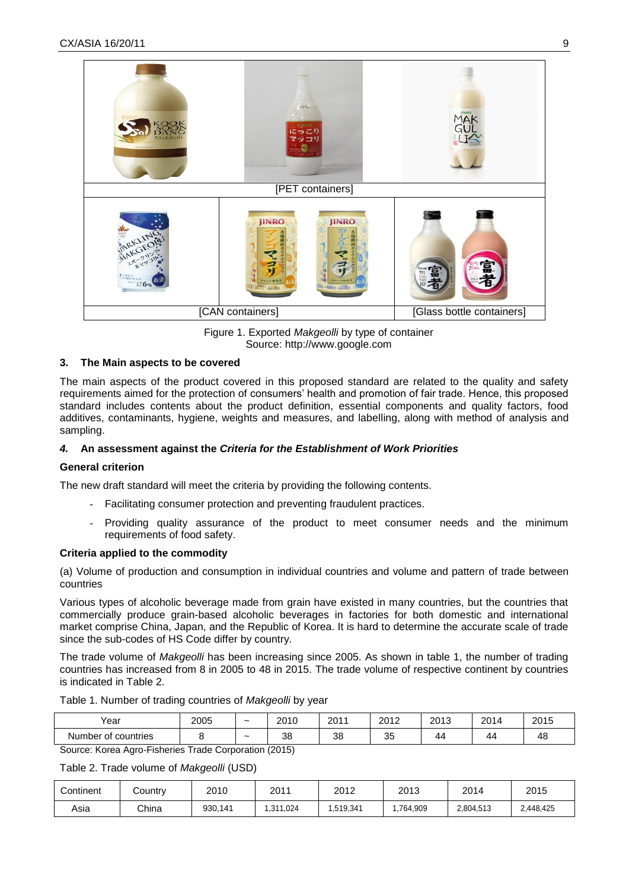

Figure 1. Exported *Makgeolli* by type of container Source: http://www.google.com

# **3. The Main aspects to be covered**

The main aspects of the product covered in this proposed standard are related to the quality and safety requirements aimed for the protection of consumers' health and promotion of fair trade. Hence, this proposed standard includes contents about the product definition, essential components and quality factors, food additives, contaminants, hygiene, weights and measures, and labelling, along with method of analysis and sampling.

# *4.* **An assessment against the** *Criteria for the Establishment of Work Priorities*

# **General criterion**

The new draft standard will meet the criteria by providing the following contents.

- Facilitating consumer protection and preventing fraudulent practices.
- Providing quality assurance of the product to meet consumer needs and the minimum requirements of food safety.

# **Criteria applied to the commodity**

(a) Volume of production and consumption in individual countries and volume and pattern of trade between countries

Various types of alcoholic beverage made from grain have existed in many countries, but the countries that commercially produce grain-based alcoholic beverages in factories for both domestic and international market comprise China, Japan, and the Republic of Korea. It is hard to determine the accurate scale of trade since the sub-codes of HS Code differ by country.

The trade volume of *Makgeolli* has been increasing since 2005. As shown in table 1, the number of trading countries has increased from 8 in 2005 to 48 in 2015. The trade volume of respective continent by countries is indicated in Table 2.

| Year                      | 2005 | $\tilde{\phantom{a}}$ | 2010 | 2011 | 2012     | 2013 | 2014 | 2015 |
|---------------------------|------|-----------------------|------|------|----------|------|------|------|
| countries<br>Number<br>οt |      | ~                     | 38   | 38   | つに<br>ບປ | 44   | 44   | 48   |

Table 1. Number of trading countries of *Makgeolli* by year

Source: Korea Agro-Fisheries Trade Corporation (2015)

Table 2. Trade volume of *Makgeolli* (USD)

| Continent | Country | 2011<br>2010 |          | 2012     | 2013      | 2014      | 2015      |
|-----------|---------|--------------|----------|----------|-----------|-----------|-----------|
| Asia      | China   | 930,141      | .311,024 | .519,341 | 1,764,909 | 2,804,513 | 2,448,425 |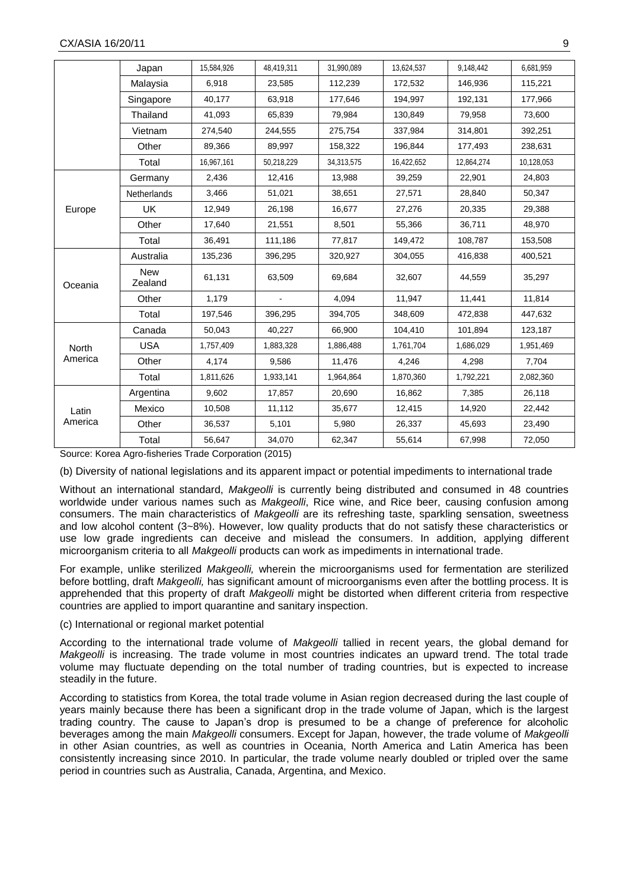|         | Japan              | 15,584,926 | 48,419,311 | 31,990,089 | 13,624,537 | 9,148,442  | 6,681,959  |
|---------|--------------------|------------|------------|------------|------------|------------|------------|
|         | Malaysia           | 6,918      | 23,585     | 112,239    | 172,532    | 146,936    | 115,221    |
|         | Singapore          | 40,177     | 63,918     | 177,646    | 194,997    | 192,131    | 177,966    |
|         | Thailand           | 41,093     | 65,839     | 79,984     | 130,849    | 79.958     | 73,600     |
|         | Vietnam            | 274,540    | 244,555    | 275,754    | 337,984    | 314,801    | 392,251    |
|         | Other              | 89,366     | 89,997     | 158,322    | 196,844    | 177,493    | 238,631    |
|         | Total              | 16,967,161 | 50,218,229 | 34,313,575 | 16,422,652 | 12,864,274 | 10,128,053 |
|         | Germany            | 2,436      | 12,416     | 13,988     | 39,259     | 22,901     | 24,803     |
|         | <b>Netherlands</b> | 3,466      | 51,021     | 38,651     | 27,571     | 28,840     | 50,347     |
| Europe  | UK                 | 12,949     | 26,198     | 16,677     | 27,276     | 20,335     | 29,388     |
|         | Other              | 17,640     | 21,551     | 8,501      | 55,366     | 36,711     | 48,970     |
|         | Total              | 36,491     | 111,186    | 77,817     | 149,472    | 108,787    | 153,508    |
|         | Australia          | 135,236    | 396,295    | 320,927    | 304,055    | 416,838    | 400,521    |
| Oceania | New<br>Zealand     | 61,131     | 63,509     | 69,684     | 32,607     | 44,559     | 35,297     |
|         | Other              | 1,179      |            | 4,094      | 11,947     | 11,441     | 11,814     |
|         | Total              | 197,546    | 396,295    | 394,705    | 348,609    | 472,838    | 447,632    |
|         | Canada             | 50,043     | 40,227     | 66,900     | 104,410    | 101,894    | 123,187    |
| North   | <b>USA</b>         | 1,757,409  | 1,883,328  | 1,886,488  | 1,761,704  | 1,686,029  | 1,951,469  |
| America | Other              | 4,174      | 9,586      | 11,476     | 4,246      | 4,298      | 7,704      |
|         | Total              | 1,811,626  | 1,933,141  | 1,964,864  | 1,870,360  | 1,792,221  | 2,082,360  |
|         | Argentina          | 9,602      | 17,857     | 20,690     | 16,862     | 7,385      | 26,118     |
| Latin   | Mexico             | 10,508     | 11,112     | 35,677     | 12,415     | 14,920     | 22,442     |
| America | Other              | 36,537     | 5,101      | 5,980      | 26,337     | 45,693     | 23,490     |
|         | Total              | 56,647     | 34,070     | 62,347     | 55,614     | 67,998     | 72,050     |

Source: Korea Agro-fisheries Trade Corporation (2015)

(b) Diversity of national legislations and its apparent impact or potential impediments to international trade

Without an international standard, *Makgeolli* is currently being distributed and consumed in 48 countries worldwide under various names such as *Makgeolli*, Rice wine, and Rice beer, causing confusion among consumers. The main characteristics of *Makgeolli* are its refreshing taste, sparkling sensation, sweetness and low alcohol content (3~8%). However, low quality products that do not satisfy these characteristics or use low grade ingredients can deceive and mislead the consumers. In addition, applying different microorganism criteria to all *Makgeolli* products can work as impediments in international trade.

For example, unlike sterilized *Makgeolli,* wherein the microorganisms used for fermentation are sterilized before bottling, draft *Makgeolli,* has significant amount of microorganisms even after the bottling process. It is apprehended that this property of draft *Makgeolli* might be distorted when different criteria from respective countries are applied to import quarantine and sanitary inspection.

#### (c) International or regional market potential

According to the international trade volume of *Makgeolli* tallied in recent years, the global demand for *Makgeolli* is increasing. The trade volume in most countries indicates an upward trend. The total trade volume may fluctuate depending on the total number of trading countries, but is expected to increase steadily in the future.

According to statistics from Korea, the total trade volume in Asian region decreased during the last couple of years mainly because there has been a significant drop in the trade volume of Japan, which is the largest trading country. The cause to Japan's drop is presumed to be a change of preference for alcoholic beverages among the main *Makgeolli* consumers. Except for Japan, however, the trade volume of *Makgeolli* in other Asian countries, as well as countries in Oceania, North America and Latin America has been consistently increasing since 2010. In particular, the trade volume nearly doubled or tripled over the same period in countries such as Australia, Canada, Argentina, and Mexico.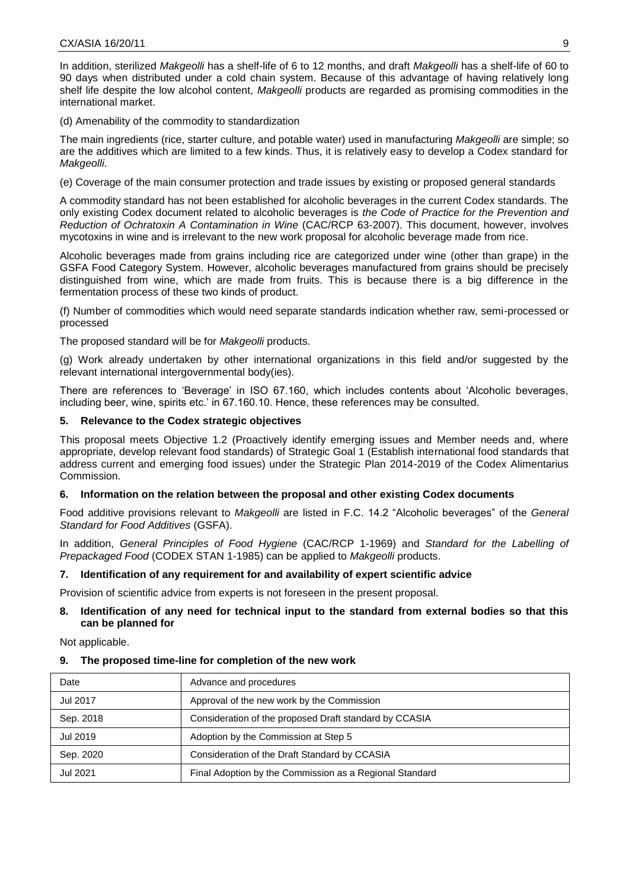In addition, sterilized *Makgeolli* has a shelf-life of 6 to 12 months, and draft *Makgeolli* has a shelf-life of 60 to 90 days when distributed under a cold chain system. Because of this advantage of having relatively long shelf life despite the low alcohol content, *Makgeolli* products are regarded as promising commodities in the international market.

(d) Amenability of the commodity to standardization

The main ingredients (rice, starter culture, and potable water) used in manufacturing *Makgeolli* are simple; so are the additives which are limited to a few kinds. Thus, it is relatively easy to develop a Codex standard for *Makgeolli*.

(e) Coverage of the main consumer protection and trade issues by existing or proposed general standards

A commodity standard has not been established for alcoholic beverages in the current Codex standards. The only existing Codex document related to alcoholic beverages is *the Code of Practice for the Prevention and Reduction of Ochratoxin A Contamination in Wine* (CAC/RCP 63-2007). This document, however, involves mycotoxins in wine and is irrelevant to the new work proposal for alcoholic beverage made from rice.

Alcoholic beverages made from grains including rice are categorized under wine (other than grape) in the GSFA Food Category System. However, alcoholic beverages manufactured from grains should be precisely distinguished from wine, which are made from fruits. This is because there is a big difference in the fermentation process of these two kinds of product.

(f) Number of commodities which would need separate standards indication whether raw, semi-processed or processed

The proposed standard will be for *Makgeolli* products.

(g) Work already undertaken by other international organizations in this field and/or suggested by the relevant international intergovernmental body(ies).

There are references to 'Beverage' in ISO 67.160, which includes contents about 'Alcoholic beverages, including beer, wine, spirits etc.' in 67.160.10. Hence, these references may be consulted.

#### **5. Relevance to the Codex strategic objectives**

This proposal meets Objective 1.2 (Proactively identify emerging issues and Member needs and, where appropriate, develop relevant food standards) of Strategic Goal 1 (Establish international food standards that address current and emerging food issues) under the Strategic Plan 2014-2019 of the Codex Alimentarius Commission.

# **6. Information on the relation between the proposal and other existing Codex documents**

Food additive provisions relevant to *Makgeolli* are listed in F.C. 14.2 "Alcoholic beverages" of the *General Standard for Food Additives* (GSFA).

In addition, *General Principles of Food Hygiene* (CAC/RCP 1-1969) and *Standard for the Labelling of Prepackaged Food* (CODEX STAN 1-1985) can be applied to *Makgeolli* products.

#### **7. Identification of any requirement for and availability of expert scientific advice**

Provision of scientific advice from experts is not foreseen in the present proposal.

#### **8. Identification of any need for technical input to the standard from external bodies so that this can be planned for**

#### Not applicable.

#### **9. The proposed time-line for completion of the new work**

| Date            | Advance and procedures                                  |
|-----------------|---------------------------------------------------------|
| <b>Jul 2017</b> | Approval of the new work by the Commission              |
| Sep. 2018       | Consideration of the proposed Draft standard by CCASIA  |
| Jul 2019        | Adoption by the Commission at Step 5                    |
| Sep. 2020       | Consideration of the Draft Standard by CCASIA           |
| <b>Jul 2021</b> | Final Adoption by the Commission as a Regional Standard |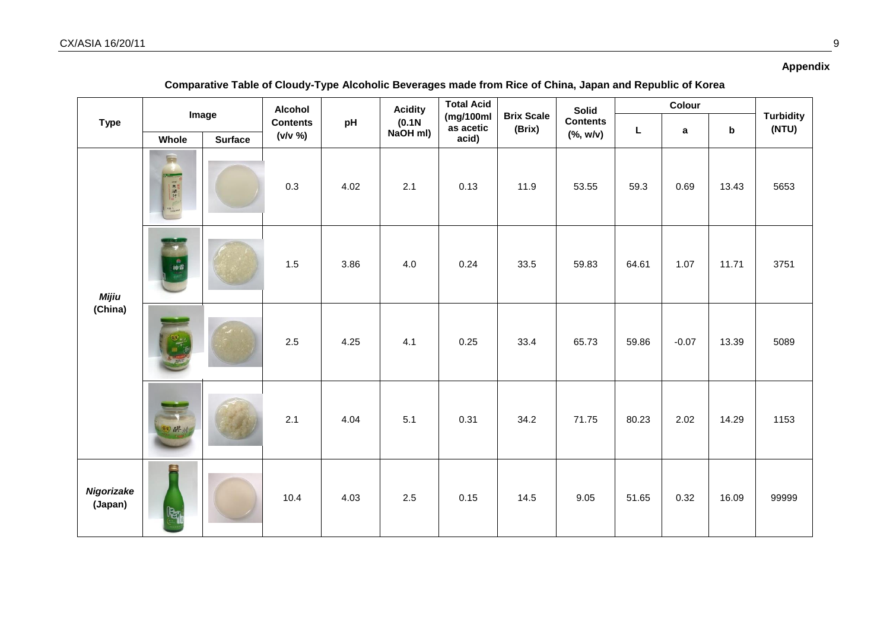# **Appendix**

| Comparative Table of Cloudy-Type Alcoholic Beverages made from Rice of China, Japan and Republic of Korea |  |
|-----------------------------------------------------------------------------------------------------------|--|
|                                                                                                           |  |

|                       |        |                         | <b>Alcohol</b> |      | <b>Acidity</b>     | <b>Total Acid</b>                |                             | <b>Solid</b>                 | Colour |         |             |                           |  |
|-----------------------|--------|-------------------------|----------------|------|--------------------|----------------------------------|-----------------------------|------------------------------|--------|---------|-------------|---------------------------|--|
| <b>Type</b>           | Whole  | Image<br><b>Surface</b> |                | pH   | (0.1N)<br>NaOH ml) | (mg/100ml)<br>as acetic<br>acid) | <b>Brix Scale</b><br>(Brix) | <b>Contents</b><br>(% , w/v) | L      | a       | $\mathbf b$ | <b>Turbidity</b><br>(NTU) |  |
|                       | 扁      |                         | 0.3            | 4.02 | 2.1                | 0.13                             | 11.9                        | 53.55                        | 59.3   | 0.69    | 13.43       | 5653                      |  |
| <b>Mijiu</b>          | 商神癖    |                         | 1.5            | 3.86 | 4.0                | 0.24                             | 33.5                        | 59.83                        | 64.61  | 1.07    | 11.71       | 3751                      |  |
| (China)               |        |                         | 2.5            | 4.25 | 4.1                | 0.25                             | 33.4                        | 65.73                        | 59.86  | $-0.07$ | 13.39       | 5089                      |  |
|                       | ★★ 配+  |                         | 2.1            | 4.04 | 5.1                | 0.31                             | 34.2                        | 71.75                        | 80.23  | 2.02    | 14.29       | 1153                      |  |
| Nigorizake<br>(Japan) | 国<br>R |                         | 10.4           | 4.03 | 2.5                | 0.15                             | 14.5                        | 9.05                         | 51.65  | 0.32    | 16.09       | 99999                     |  |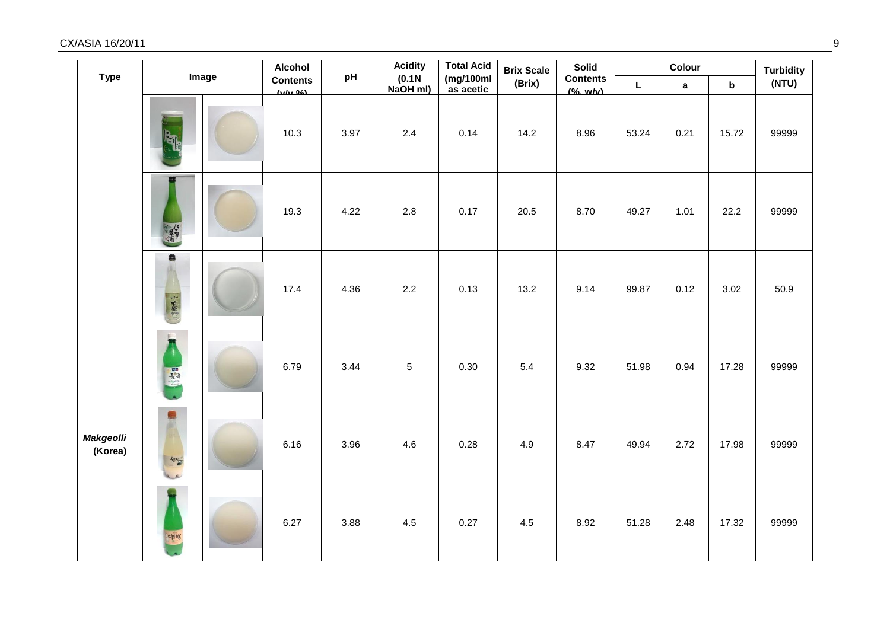| <b>Type</b>                 | Image                       |  | <b>Alcohol</b>            | pH   | <b>Acidity</b>     | <b>Total Acid</b>       | <b>Brix Scale</b> | <b>Solid</b>                 |       | Colour      |                           | <b>Turbidity</b> |
|-----------------------------|-----------------------------|--|---------------------------|------|--------------------|-------------------------|-------------------|------------------------------|-------|-------------|---------------------------|------------------|
|                             |                             |  | <b>Contents</b><br>(bth0) |      | (0.1N)<br>NaOH ml) | (mg/100ml)<br>as acetic | (Brix)            | <b>Contents</b><br>(% . w/v) | L     | $\mathbf a$ | $\boldsymbol{\mathsf{b}}$ | (NTU)            |
|                             | $\mathbb{E}_{\mathbb{I}^d}$ |  | 10.3                      | 3.97 | 2.4                | 0.14                    | 14.2              | 8.96                         | 53.24 | 0.21        | 15.72                     | 99999            |
|                             | 菊                           |  | 19.3                      | 4.22 | 2.8                | 0.17                    | 20.5              | 8.70                         | 49.27 | 1.01        | 22.2                      | 99999            |
|                             | 8<br>十右衛門                   |  | 17.4                      | 4.36 | 2.2                | 0.13                    | 13.2              | 9.14                         | 99.87 | 0.12        | 3.02                      | 50.9             |
|                             | E<br>基                      |  | 6.79                      | 3.44 | 5                  | 0.30                    | 5.4               | 9.32                         | 51.98 | 0.94        | 17.28                     | 99999            |
| <b>Makgeolli</b><br>(Korea) | €<br>知道<br>$\overline{a}$   |  | 6.16                      | 3.96 | 4.6                | 0.28                    | 4.9               | 8.47                         | 49.94 | 2.72        | 17.98                     | 99999            |
|                             | <b>CHAY</b>                 |  | 6.27                      | 3.88 | 4.5                | 0.27                    | 4.5               | 8.92                         | 51.28 | 2.48        | 17.32                     | 99999            |